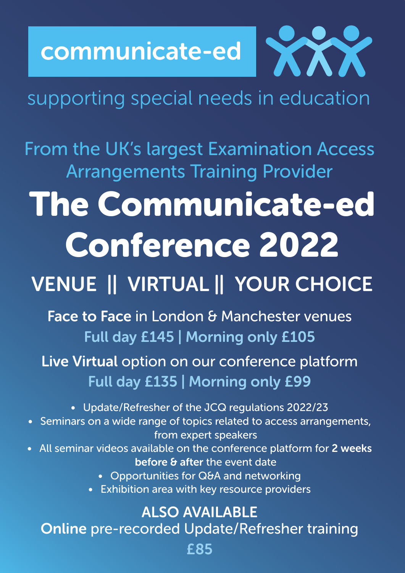# communicate-ed

# **AND**

### supporting special needs in education

From the UK's largest Examination Access Arrangements Training Provider

# The Communicate-ed Conference 2022

# VENUE || VIRTUAL || YOUR CHOICE

Face to Face in London & Manchester venues Full day £145 | Morning only £105

Live Virtual option on our conference platform Full day £135 | Morning only £99

- Update/Refresher of the JCQ regulations 2022/23
- Seminars on a wide range of topics related to access arrangements, from expert speakers
- All seminar videos available on the conference platform for 2 weeks before & after the event date
	- Opportunities for Q&A and networking
	- Exhibition area with key resource providers

ALSO AVAILABLE Online pre-recorded Update/Refresher training £85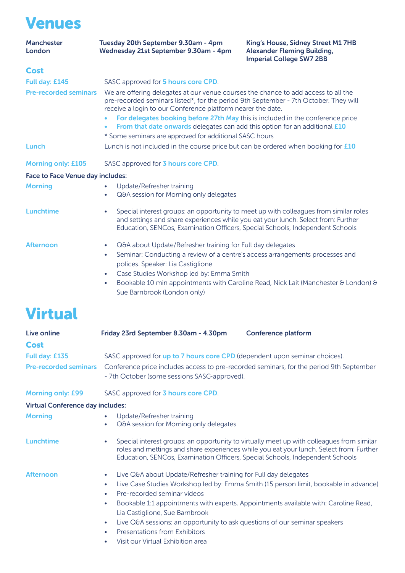#### Venues

| <b>Manchester</b><br>London             | Tuesday 20th September 9.30am - 4pm<br>Wednesday 21st September 9.30am - 4pm                                                                                                                                                                                                                                                                                                                                                                                                            | King's House, Sidney Street M1 7HB<br><b>Alexander Fleming Building,</b><br><b>Imperial College SW7 2BB</b>                                                                          |
|-----------------------------------------|-----------------------------------------------------------------------------------------------------------------------------------------------------------------------------------------------------------------------------------------------------------------------------------------------------------------------------------------------------------------------------------------------------------------------------------------------------------------------------------------|--------------------------------------------------------------------------------------------------------------------------------------------------------------------------------------|
| <b>Cost</b>                             |                                                                                                                                                                                                                                                                                                                                                                                                                                                                                         |                                                                                                                                                                                      |
| Full day: £145                          | SASC approved for 5 hours core CPD.                                                                                                                                                                                                                                                                                                                                                                                                                                                     |                                                                                                                                                                                      |
| <b>Pre-recorded seminars</b>            | We are offering delegates at our venue courses the chance to add access to all the<br>pre-recorded seminars listed*, for the period 9th September - 7th October. They will<br>receive a login to our Conference platform nearer the date.<br>For delegates booking before 27th May this is included in the conference price<br>From that date onwards delegates can add this option for an additional <b>£10</b><br>$\bullet$<br>* Some seminars are approved for additional SASC hours |                                                                                                                                                                                      |
| Lunch                                   | Lunch is not included in the course price but can be ordered when booking for <b>£10</b>                                                                                                                                                                                                                                                                                                                                                                                                |                                                                                                                                                                                      |
| <b>Morning only: £105</b>               | SASC approved for 3 hours core CPD.                                                                                                                                                                                                                                                                                                                                                                                                                                                     |                                                                                                                                                                                      |
| <b>Face to Face Venue day includes:</b> |                                                                                                                                                                                                                                                                                                                                                                                                                                                                                         |                                                                                                                                                                                      |
| <b>Morning</b>                          | Update/Refresher training<br>Q&A session for Morning only delegates<br>$\bullet$                                                                                                                                                                                                                                                                                                                                                                                                        |                                                                                                                                                                                      |
| Lunchtime                               | Special interest groups: an opportunity to meet up with colleagues from similar roles<br>$\bullet$<br>and settings and share experiences while you eat your lunch. Select from: Further<br>Education, SENCos, Examination Officers, Special Schools, Independent Schools                                                                                                                                                                                                                |                                                                                                                                                                                      |
| <b>Afternoon</b>                        | Q&A about Update/Refresher training for Full day delegates<br>$\bullet$<br>Seminar: Conducting a review of a centre's access arrangements processes and<br>$\bullet$<br>polices. Speaker: Lia Castiglione<br>Case Studies Workshop led by: Emma Smith<br>$\bullet$<br>Bookable 10 min appointments with Caroline Read, Nick Lait (Manchester & London) &<br>$\bullet$<br>Sue Barnbrook (London only)                                                                                    |                                                                                                                                                                                      |
| <b>Virtual</b>                          |                                                                                                                                                                                                                                                                                                                                                                                                                                                                                         |                                                                                                                                                                                      |
| Live online                             | Friday 23rd September 8.30am - 4.30pm                                                                                                                                                                                                                                                                                                                                                                                                                                                   | <b>Conference platform</b>                                                                                                                                                           |
| <b>Cost</b>                             |                                                                                                                                                                                                                                                                                                                                                                                                                                                                                         |                                                                                                                                                                                      |
| Full day: £135                          | SASC approved for up to 7 hours core CPD (dependent upon seminar choices).                                                                                                                                                                                                                                                                                                                                                                                                              |                                                                                                                                                                                      |
| <b>Pre-recorded seminars</b>            | Conference price includes access to pre-recorded seminars, for the period 9th September<br>- 7th October (some sessions SASC-approved).                                                                                                                                                                                                                                                                                                                                                 |                                                                                                                                                                                      |
| <b>Morning only: £99</b>                | SASC approved for 3 hours core CPD.                                                                                                                                                                                                                                                                                                                                                                                                                                                     |                                                                                                                                                                                      |
| <b>Virtual Conference day includes:</b> |                                                                                                                                                                                                                                                                                                                                                                                                                                                                                         |                                                                                                                                                                                      |
| <b>Morning</b>                          | Update/Refresher training<br>Q&A session for Morning only delegates                                                                                                                                                                                                                                                                                                                                                                                                                     |                                                                                                                                                                                      |
| Lunchtime                               | $\bullet$<br>Education, SENCos, Examination Officers, Special Schools, Independent Schools                                                                                                                                                                                                                                                                                                                                                                                              | Special interest groups: an opportunity to virtually meet up with colleagues from similar<br>roles and mettings and share experiences while you eat your lunch. Select from: Further |
| <b>Afternoon</b>                        | Live Q&A about Update/Refresher training for Full day delegates<br>$\bullet$<br>$\bullet$                                                                                                                                                                                                                                                                                                                                                                                               | Live Case Studies Workshop led by: Emma Smith (15 person limit, bookable in advance)                                                                                                 |

- Pre-recorded seminar videos
- Bookable 1:1 appointments with experts. Appointments available with: Caroline Read, Lia Castiglione, Sue Barnbrook
- Live Q&A sessions: an opportunity to ask questions of our seminar speakers
- Presentations from Exhibitors
- Visit our Virtual Exhibition area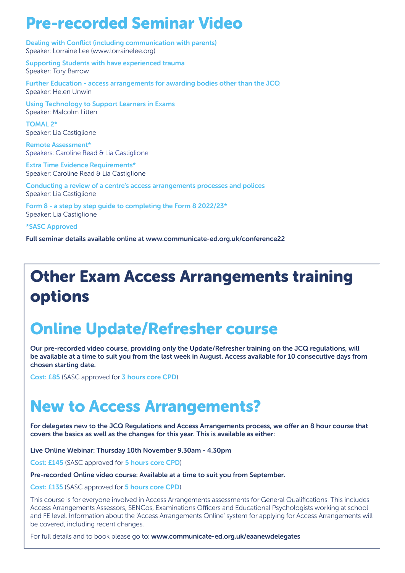#### Pre-recorded Seminar Video

Dealing with Conflict (including communication with parents) Speaker: Lorraine Lee (www.lorrainelee.org)

Supporting Students with have experienced trauma Speaker: Tory Barrow

Further Education - access arrangements for awarding bodies other than the JCQ Speaker: Helen Unwin

Using Technology to Support Learners in Exams Speaker: Malcolm Litten

TOMAL 2\* Speaker: Lia Castiglione

Remote Assessment\* Speakers: Caroline Read & Lia Castiglione

Extra Time Evidence Requirements\* Speaker: Caroline Read & Lia Castiglione

Conducting a review of a centre's access arrangements processes and polices Speaker: Lia Castiglione

Form 8 - a step by step guide to completing the Form 8 2022/23\* Speaker: Lia Castiglione

\*SASC Approved

Full seminar details available online at www.communicate-ed.org.uk/conference22

#### Other Exam Access Arrangements training options

#### Online Update/Refresher course

Our pre-recorded video course, providing only the Update/Refresher training on the JCQ regulations, will be available at a time to suit you from the last week in August. Access available for 10 consecutive days from chosen starting date.

Cost: £85 (SASC approved for 3 hours core CPD)

#### New to Access Arrangements?

For delegates new to the JCQ Regulations and Access Arrangements process, we offer an 8 hour course that covers the basics as well as the changes for this year. This is available as either:

Live Online Webinar: Thursday 10th November 9.30am - 4.30pm

Cost: £145 (SASC approved for 5 hours core CPD)

Pre-recorded Online video course: Available at a time to suit you from September.

Cost: £135 (SASC approved for 5 hours core CPD)

This course is for everyone involved in Access Arrangements assessments for General Qualifications. This includes Access Arrangements Assessors, SENCos, Examinations Officers and Educational Psychologists working at school and FE level. Information about the 'Access Arrangements Online' system for applying for Access Arrangements will be covered, including recent changes.

For full details and to book please go to: www.communicate-ed.org.uk/eaanewdelegates